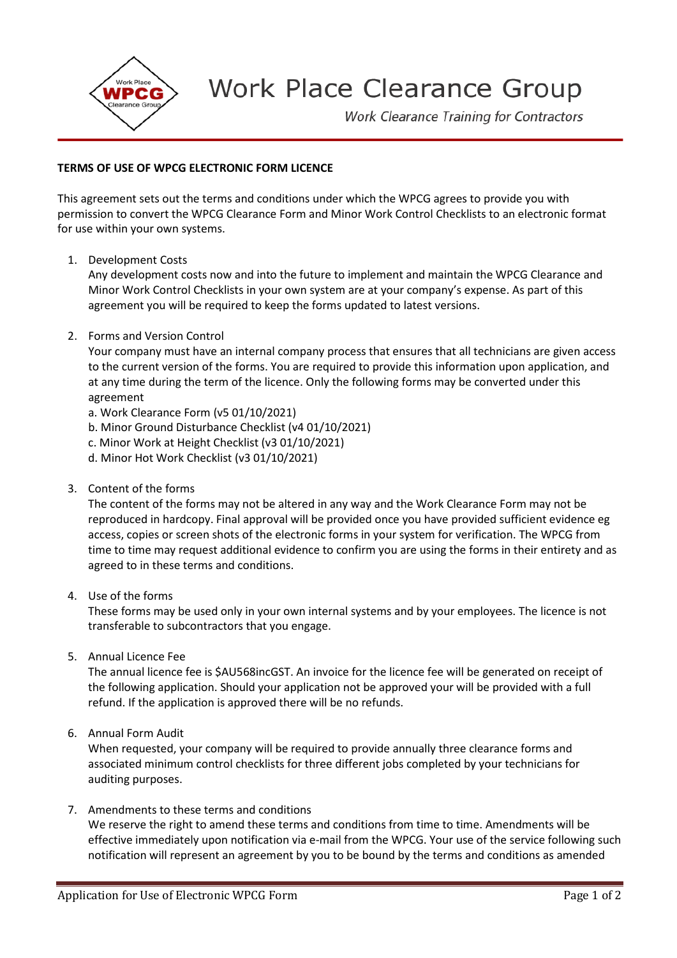

## **Work Place Clearance Group**

**Work Clearance Training for Contractors** 

## **TERMS OF USE OF WPCG ELECTRONIC FORM LICENCE**

This agreement sets out the terms and conditions under which the WPCG agrees to provide you with permission to convert the WPCG Clearance Form and Minor Work Control Checklists to an electronic format for use within your own systems.

1. Development Costs

Any development costs now and into the future to implement and maintain the WPCG Clearance and Minor Work Control Checklists in your own system are at your company's expense. As part of this agreement you will be required to keep the forms updated to latest versions.

2. Forms and Version Control

Your company must have an internal company process that ensures that all technicians are given access to the current version of the forms. You are required to provide this information upon application, and at any time during the term of the licence. Only the following forms may be converted under this agreement

- a. Work Clearance Form (v5 01/10/2021)
- b. Minor Ground Disturbance Checklist (v4 01/10/2021)
- c. Minor Work at Height Checklist (v3 01/10/2021)
- d. Minor Hot Work Checklist (v3 01/10/2021)
- 3. Content of the forms

The content of the forms may not be altered in any way and the Work Clearance Form may not be reproduced in hardcopy. Final approval will be provided once you have provided sufficient evidence eg access, copies or screen shots of the electronic forms in your system for verification. The WPCG from time to time may request additional evidence to confirm you are using the forms in their entirety and as agreed to in these terms and conditions.

4. Use of the forms

These forms may be used only in your own internal systems and by your employees. The licence is not transferable to subcontractors that you engage.

5. Annual Licence Fee

The annual licence fee is \$AU568incGST. An invoice for the licence fee will be generated on receipt of the following application. Should your application not be approved your will be provided with a full refund. If the application is approved there will be no refunds.

6. Annual Form Audit

When requested, your company will be required to provide annually three clearance forms and associated minimum control checklists for three different jobs completed by your technicians for auditing purposes.

7. Amendments to these terms and conditions

We reserve the right to amend these terms and conditions from time to time. Amendments will be effective immediately upon notification via e-mail from the WPCG. Your use of the service following such notification will represent an agreement by you to be bound by the terms and conditions as amended